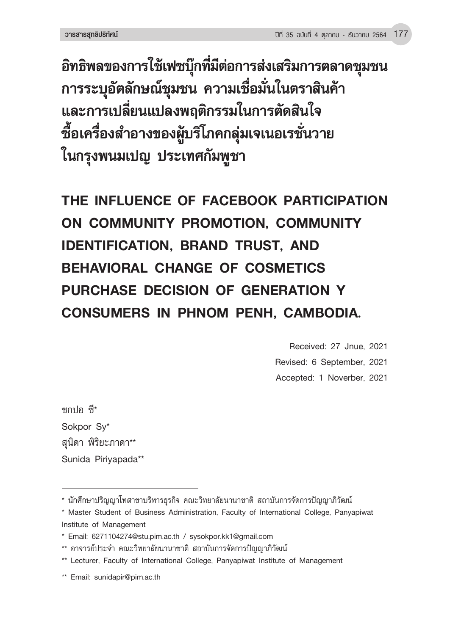**อิทธิพลของการใช้เฟซบุ๊กที่มีต่อการส่งเสริมการตลาดชุมชน การระบุอัตลักษณ์ชุมชน ความเชื่อมั่นในตราสินค้า และการเปลี่ยนแปลงพฤติกรรมในการตัดสินใจ ซื้อเครื่องส�ำอางของผู้บริโภคกลุ่มเจเนอเรชั่นวาย ในกรุงพนมเปญ ประเทศกัมพูชา**

**THE INFLUENCE OF FACEBOOK PARTICIPATION ON COMMUNITY PROMOTION, COMMUNITY IDENTIFICATION, BRAND TRUST, AND BEHAVIORAL CHANGE OF COSMETICS PURCHASE DECISION OF GENERATION Y CONSUMERS IN PHNOM PENH, CAMBODIA.**

> Received: 27 Jnue, 2021 Revised: 6 September, 2021 Accepted: 1 Noverber, 2021

ซกปอ ซึ่\* Sokpor Sy\* สุนิดา พิริยะภาดา\*\* Sunida Piriyapada\*\*

<sup>\*</sup> นักศึกษาปริญญาโทสาขาบริหารธุรกิจ คณะวิทยาลัยนานาชาติ สถาบันการจัดการปัญญาภิวัฒน์

<sup>\*</sup> Master Student of Business Administration, Faculty of International College, Panyapiwat Institute of Management

<sup>\*</sup> Email: 6271104274@stu.pim.ac.th / sysokpor.kk1@gmail.com

<sup>\*\*</sup> อาจารย์ประจำ คณะวิทยาลัยนานาชาติ สถาบันการจัดการปัญญาภิวัฒน์

<sup>\*\*</sup> Lecturer, Faculty of International College, Panyapiwat Institute of Management

<sup>\*\*</sup> Email: sunidapir@pim.ac.th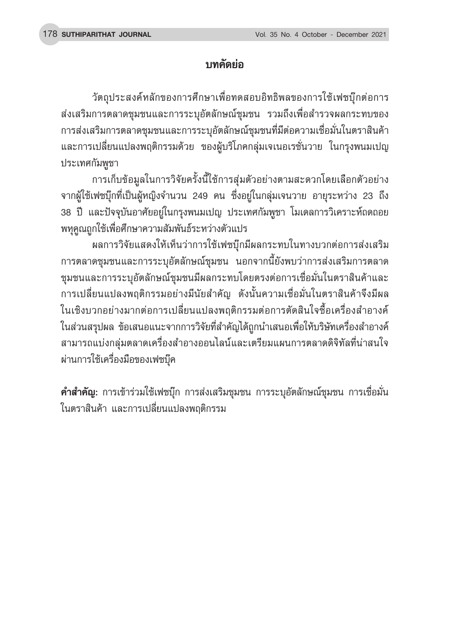# **บทคัดย่อ**

วัตถุประสงค์หลักของการศึกษาเพื่อทดสอบอิทธิพลของการใช้เฟซบุ๊กต ่อการ ส่งเสริมการตลาดชุมชนและการระบุอัตลักษณ์ชุมชน รวมถึงเพื่อสำรวจผลกระทบของ การส่งเสริมการตลาดชุมชนและการระบุอัตลักษณ์ชุมชนที่มีต่อความเชื่อมั่นในตราสินค้า และการเปลี่ยนแปลงพฤติกรรมด้วย ของผู้บริโภคกลุ่มเจเนอเรชั่นวาย ในกรุงพนมเปญ ประเทศกัมพูชา

การเก็บข้อมูลในการวิจัยครั้งนี้ใช้การสุ่มตัวอย่างตามสะดวกโดยเลือกตัวอย่าง จากผู้ใช้เฟซบุ๊กที่เป็นผู้หญิงจำนวน 249 คน ซึ่งอยู่ในกลุ่มเจนวาย อายุระหว่าง 23 ถึง 38 ปี และปัจจุบันอาศัยอยู่ในกรุงพนมเปญ ประเทศกัมพูชา โมเดลการวิเคราะห์ถดถอย พหุคูณถูกใช้เพื่อศึกษาความสัมพันธ์ระหว่างตัวแปร

ผลการวิจัยแสดงให้เห็นว่าการใช้เฟซบุ๊กมีผลกระทบในทางบวกต่อการส่งเสริม การตลาดชุมชนและการระบุอัตลักษณ์ชุมชน นอกจากนี้ยังพบว่าการส่งเสริมการตลาด ชุมชนและการระบุอัตลักษณ์ชุมชนมีผลกระทบโดยตรงต่อการเชื่อมั่นในตราสินค้าและ ึการเปลี่ยนแปลงพฤติกรรมอย่างมีนัยสำคัญ ดังนั้นความเชื่อมั่นในตราสินค้าจึงมีผล ่ ในเชิงบวกอย่างมากต่อการเปลี่ยนแปลงพฤติกรรมต่อการตัดสินใจซื้อเครื่องสำอางค์ ในส่วนสรุปผล ข้อเสนอแนะจากการวิจัยที่สำคัญได้ถูกนำเสนอเพื่อให้บริษัทเครื่องสำอางค์ สามารถแบ่งกลุ่มตลาดเครื่องส�ำอางออนไลน์และเตรียมแผนการตลาดดิจิทัลที่น่าสนใจ ผ่านการใช้เครื่องมือของเฟซบุ๊ค

**ค�ำส�ำคัญ:** การเข้าร่วมใช้เฟซบุ๊ก การส่งเสริมชุมชน การระบุอัตลักษณ์ชุมชน การเชื่อมั่น ในตราสินค้า และการเปลี่ยนแปลงพฤติกรรม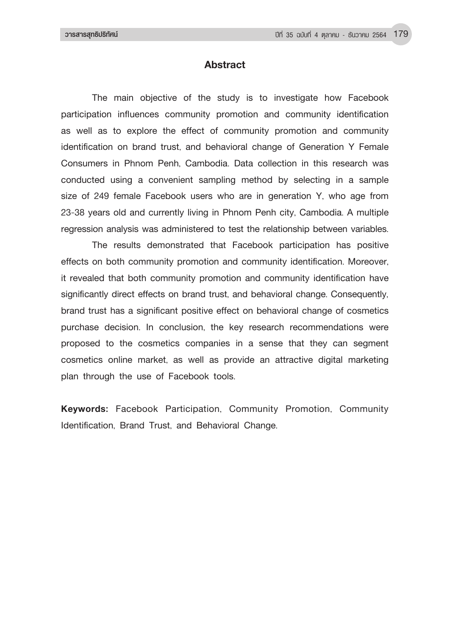## **Abstract**

The main objective of the study is to investigate how Facebook participation influences community promotion and community identification as well as to explore the effect of community promotion and community identification on brand trust, and behavioral change of Generation Y Female Consumers in Phnom Penh, Cambodia. Data collection in this research was conducted using a convenient sampling method by selecting in a sample size of 249 female Facebook users who are in generation Y, who age from 23-38 years old and currently living in Phnom Penh city, Cambodia. A multiple regression analysis was administered to test the relationship between variables.

The results demonstrated that Facebook participation has positive effects on both community promotion and community identification. Moreover, it revealed that both community promotion and community identification have significantly direct effects on brand trust, and behavioral change. Consequently, brand trust has a significant positive effect on behavioral change of cosmetics purchase decision. In conclusion, the key research recommendations were proposed to the cosmetics companies in a sense that they can segment cosmetics online market, as well as provide an attractive digital marketing plan through the use of Facebook tools.

**Keywords:** Facebook Participation, Community Promotion, Community Identification, Brand Trust, and Behavioral Change.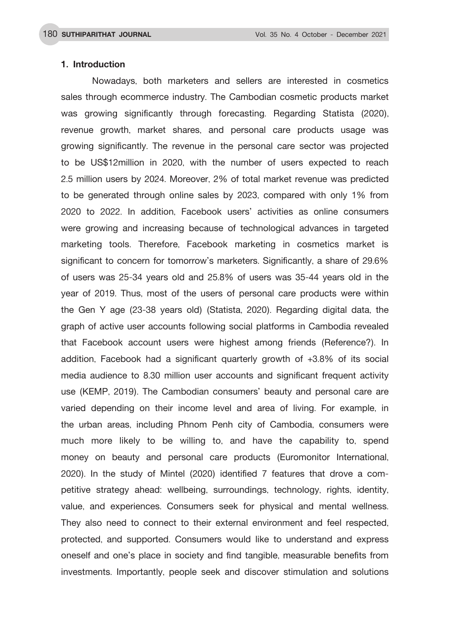### **1. Introduction**

Nowadays, both marketers and sellers are interested in cosmetics sales through ecommerce industry. The Cambodian cosmetic products market was growing significantly through forecasting. Regarding Statista (2020), revenue growth, market shares, and personal care products usage was growing significantly. The revenue in the personal care sector was projected to be US\$12million in 2020, with the number of users expected to reach 2.5 million users by 2024. Moreover, 2% of total market revenue was predicted to be generated through online sales by 2023, compared with only 1% from 2020 to 2022. In addition, Facebook users' activities as online consumers were growing and increasing because of technological advances in targeted marketing tools. Therefore, Facebook marketing in cosmetics market is significant to concern for tomorrow's marketers. Significantly, a share of 29.6% of users was 25-34 years old and 25.8% of users was 35-44 years old in the year of 2019. Thus, most of the users of personal care products were within the Gen Y age (23-38 years old) (Statista, 2020). Regarding digital data, the graph of active user accounts following social platforms in Cambodia revealed that Facebook account users were highest among friends (Reference?). In addition, Facebook had a significant quarterly growth of +3.8% of its social media audience to 8.30 million user accounts and significant frequent activity use (KEMP, 2019). The Cambodian consumers' beauty and personal care are varied depending on their income level and area of living. For example, in the urban areas, including Phnom Penh city of Cambodia, consumers were much more likely to be willing to, and have the capability to, spend money on beauty and personal care products (Euromonitor International, 2020). In the study of Mintel (2020) identified 7 features that drove a competitive strategy ahead: wellbeing, surroundings, technology, rights, identity, value, and experiences. Consumers seek for physical and mental wellness. They also need to connect to their external environment and feel respected, protected, and supported. Consumers would like to understand and express oneself and one's place in society and find tangible, measurable benefits from investments. Importantly, people seek and discover stimulation and solutions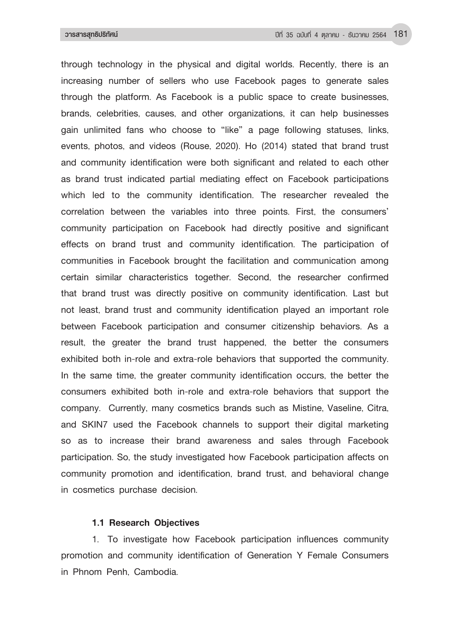through technology in the physical and digital worlds. Recently, there is an increasing number of sellers who use Facebook pages to generate sales through the platform. As Facebook is a public space to create businesses, brands, celebrities, causes, and other organizations, it can help businesses gain unlimited fans who choose to "like" a page following statuses, links, events, photos, and videos (Rouse, 2020). Ho (2014) stated that brand trust and community identification were both significant and related to each other as brand trust indicated partial mediating effect on Facebook participations which led to the community identification. The researcher revealed the correlation between the variables into three points. First, the consumers' community participation on Facebook had directly positive and significant effects on brand trust and community identification. The participation of communities in Facebook brought the facilitation and communication among certain similar characteristics together. Second, the researcher confirmed that brand trust was directly positive on community identification. Last but not least, brand trust and community identification played an important role between Facebook participation and consumer citizenship behaviors. As a result, the greater the brand trust happened, the better the consumers exhibited both in-role and extra-role behaviors that supported the community. In the same time, the greater community identification occurs, the better the consumers exhibited both in-role and extra-role behaviors that support the company. Currently, many cosmetics brands such as Mistine, Vaseline, Citra, and SKIN7 used the Facebook channels to support their digital marketing so as to increase their brand awareness and sales through Facebook participation. So, the study investigated how Facebook participation affects on community promotion and identification, brand trust, and behavioral change in cosmetics purchase decision.

#### **1.1 Research Objectives**

1. To investigate how Facebook participation influences community promotion and community identification of Generation Y Female Consumers in Phnom Penh, Cambodia.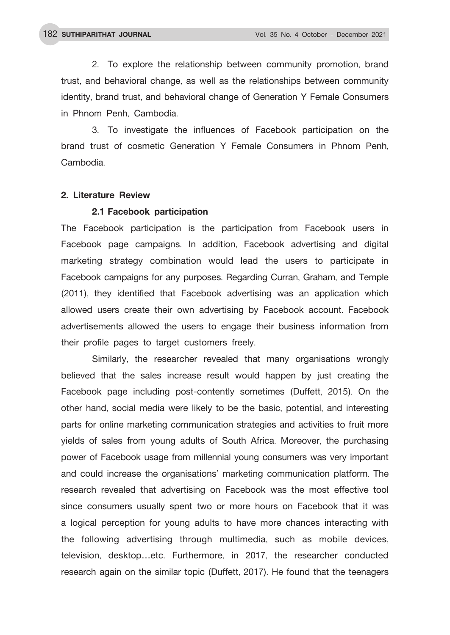2. To explore the relationship between community promotion, brand trust, and behavioral change, as well as the relationships between community identity, brand trust, and behavioral change of Generation Y Female Consumers in Phnom Penh, Cambodia.

3. To investigate the influences of Facebook participation on the brand trust of cosmetic Generation Y Female Consumers in Phnom Penh, Cambodia.

#### **2. Literature Review**

#### **2.1 Facebook participation**

The Facebook participation is the participation from Facebook users in Facebook page campaigns. In addition, Facebook advertising and digital marketing strategy combination would lead the users to participate in Facebook campaigns for any purposes. Regarding Curran, Graham, and Temple (2011), they identified that Facebook advertising was an application which allowed users create their own advertising by Facebook account. Facebook advertisements allowed the users to engage their business information from their profile pages to target customers freely.

Similarly, the researcher revealed that many organisations wrongly believed that the sales increase result would happen by just creating the Facebook page including post-contently sometimes (Duffett, 2015). On the other hand, social media were likely to be the basic, potential, and interesting parts for online marketing communication strategies and activities to fruit more yields of sales from young adults of South Africa. Moreover, the purchasing power of Facebook usage from millennial young consumers was very important and could increase the organisations' marketing communication platform. The research revealed that advertising on Facebook was the most effective tool since consumers usually spent two or more hours on Facebook that it was a logical perception for young adults to have more chances interacting with the following advertising through multimedia, such as mobile devices, television, desktop…etc. Furthermore, in 2017, the researcher conducted research again on the similar topic (Duffett, 2017). He found that the teenagers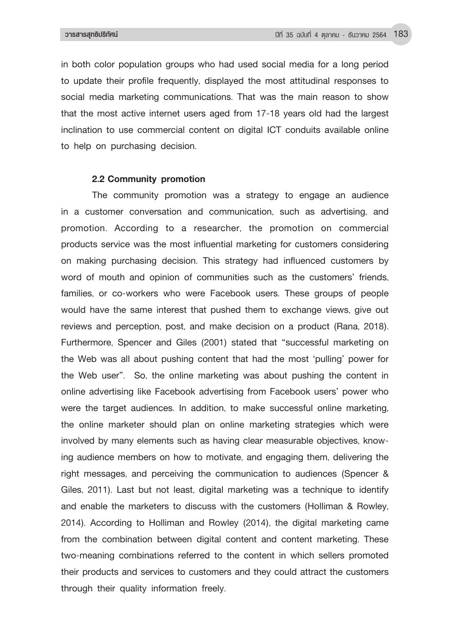in both color population groups who had used social media for a long period to update their profile frequently, displayed the most attitudinal responses to social media marketing communications. That was the main reason to show that the most active internet users aged from 17-18 years old had the largest inclination to use commercial content on digital ICT conduits available online to help on purchasing decision.

## **2.2 Community promotion**

The community promotion was a strategy to engage an audience in a customer conversation and communication, such as advertising, and promotion. According to a researcher, the promotion on commercial products service was the most influential marketing for customers considering on making purchasing decision. This strategy had influenced customers by word of mouth and opinion of communities such as the customers' friends, families, or co-workers who were Facebook users. These groups of people would have the same interest that pushed them to exchange views, give out reviews and perception, post, and make decision on a product (Rana, 2018). Furthermore, Spencer and Giles (2001) stated that "successful marketing on the Web was all about pushing content that had the most 'pulling' power for the Web user". So, the online marketing was about pushing the content in online advertising like Facebook advertising from Facebook users' power who were the target audiences. In addition, to make successful online marketing, the online marketer should plan on online marketing strategies which were involved by many elements such as having clear measurable objectives, knowing audience members on how to motivate, and engaging them, delivering the right messages, and perceiving the communication to audiences (Spencer & Giles, 2011). Last but not least, digital marketing was a technique to identify and enable the marketers to discuss with the customers (Holliman & Rowley, 2014). According to Holliman and Rowley (2014), the digital marketing came from the combination between digital content and content marketing. These two-meaning combinations referred to the content in which sellers promoted their products and services to customers and they could attract the customers through their quality information freely.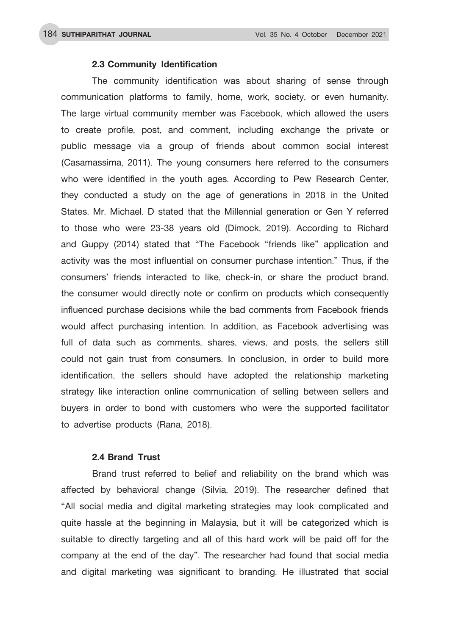#### **2.3 Community Identification**

The community identification was about sharing of sense through communication platforms to family, home, work, society, or even humanity. The large virtual community member was Facebook, which allowed the users to create profile, post, and comment, including exchange the private or public message via a group of friends about common social interest (Casamassima, 2011). The young consumers here referred to the consumers who were identified in the youth ages. According to Pew Research Center, they conducted a study on the age of generations in 2018 in the United States. Mr. Michael. D stated that the Millennial generation or Gen Y referred to those who were 23-38 years old (Dimock, 2019). According to Richard and Guppy (2014) stated that "The Facebook "friends like" application and activity was the most influential on consumer purchase intention." Thus, if the consumers' friends interacted to like, check-in, or share the product brand, the consumer would directly note or confirm on products which consequently influenced purchase decisions while the bad comments from Facebook friends would affect purchasing intention. In addition, as Facebook advertising was full of data such as comments, shares, views, and posts, the sellers still could not gain trust from consumers. In conclusion, in order to build more identification, the sellers should have adopted the relationship marketing strategy like interaction online communication of selling between sellers and buyers in order to bond with customers who were the supported facilitator to advertise products (Rana, 2018).

#### **2.4 Brand Trust**

Brand trust referred to belief and reliability on the brand which was affected by behavioral change (Silvia, 2019). The researcher defined that "All social media and digital marketing strategies may look complicated and quite hassle at the beginning in Malaysia, but it will be categorized which is suitable to directly targeting and all of this hard work will be paid off for the company at the end of the day". The researcher had found that social media and digital marketing was significant to branding. He illustrated that social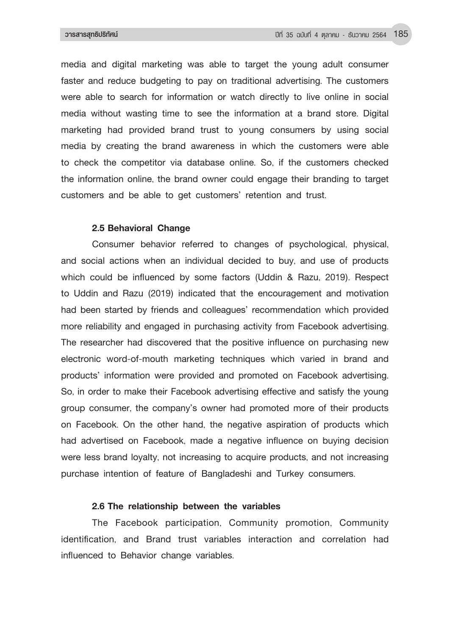media and digital marketing was able to target the young adult consumer faster and reduce budgeting to pay on traditional advertising. The customers were able to search for information or watch directly to live online in social media without wasting time to see the information at a brand store. Digital marketing had provided brand trust to young consumers by using social media by creating the brand awareness in which the customers were able to check the competitor via database online. So, if the customers checked the information online, the brand owner could engage their branding to target customers and be able to get customers' retention and trust.

#### **2.5 Behavioral Change**

Consumer behavior referred to changes of psychological, physical, and social actions when an individual decided to buy, and use of products which could be influenced by some factors (Uddin & Razu, 2019). Respect to Uddin and Razu (2019) indicated that the encouragement and motivation had been started by friends and colleagues' recommendation which provided more reliability and engaged in purchasing activity from Facebook advertising. The researcher had discovered that the positive influence on purchasing new electronic word-of-mouth marketing techniques which varied in brand and products' information were provided and promoted on Facebook advertising. So, in order to make their Facebook advertising effective and satisfy the young group consumer, the company's owner had promoted more of their products on Facebook. On the other hand, the negative aspiration of products which had advertised on Facebook, made a negative influence on buying decision were less brand loyalty, not increasing to acquire products, and not increasing purchase intention of feature of Bangladeshi and Turkey consumers.

## **2.6 The relationship between the variables**

The Facebook participation, Community promotion, Community identification, and Brand trust variables interaction and correlation had influenced to Behavior change variables.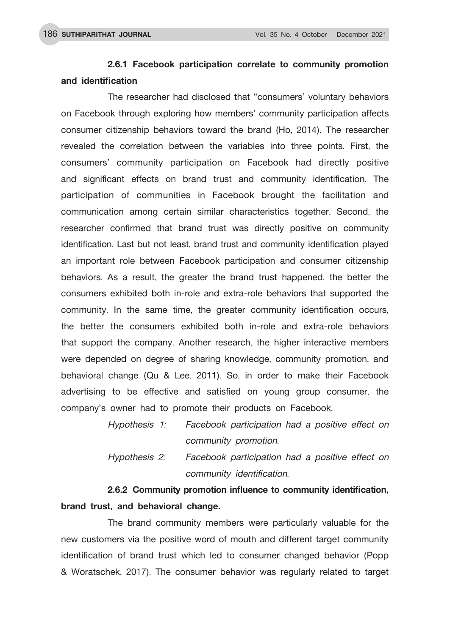## **2.6.1 Facebook participation correlate to community promotion and identification**

 The researcher had disclosed that "consumers' voluntary behaviors on Facebook through exploring how members' community participation affects consumer citizenship behaviors toward the brand (Ho, 2014). The researcher revealed the correlation between the variables into three points. First, the consumers' community participation on Facebook had directly positive and significant effects on brand trust and community identification. The participation of communities in Facebook brought the facilitation and communication among certain similar characteristics together. Second, the researcher confirmed that brand trust was directly positive on community identification. Last but not least, brand trust and community identification played an important role between Facebook participation and consumer citizenship behaviors. As a result, the greater the brand trust happened, the better the consumers exhibited both in-role and extra-role behaviors that supported the community. In the same time, the greater community identification occurs, the better the consumers exhibited both in-role and extra-role behaviors that support the company. Another research, the higher interactive members were depended on degree of sharing knowledge, community promotion, and behavioral change (Qu & Lee, 2011). So, in order to make their Facebook advertising to be effective and satisfied on young group consumer, the company's owner had to promote their products on Facebook.

> *Hypothesis 1: Facebook participation had a positive effect on community promotion.*

> *Hypothesis 2: Facebook participation had a positive effect on community identification.*

**2.6.2 Community promotion influence to community identification, brand trust, and behavioral change.** 

 The brand community members were particularly valuable for the new customers via the positive word of mouth and different target community identification of brand trust which led to consumer changed behavior (Popp & Woratschek, 2017). The consumer behavior was regularly related to target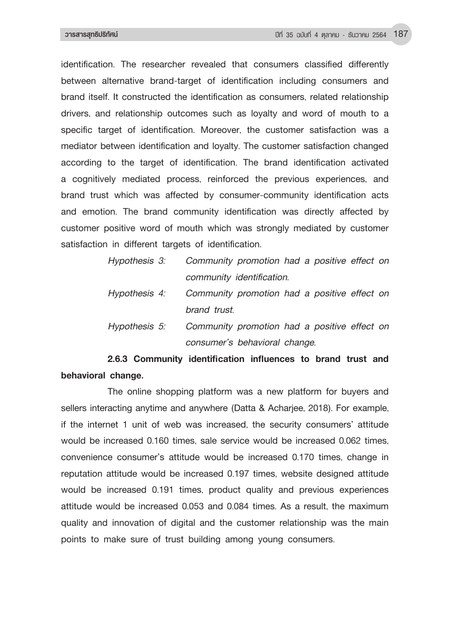identification. The researcher revealed that consumers classified differently between alternative brand-target of identification including consumers and brand itself. It constructed the identification as consumers, related relationship drivers, and relationship outcomes such as loyalty and word of mouth to a specific target of identification. Moreover, the customer satisfaction was a mediator between identification and loyalty. The customer satisfaction changed according to the target of identification. The brand identification activated a cognitively mediated process, reinforced the previous experiences, and brand trust which was affected by consumer-community identification acts and emotion. The brand community identification was directly affected by customer positive word of mouth which was strongly mediated by customer satisfaction in different targets of identification.

| Hypothesis 3: Community promotion had a positive effect on |
|------------------------------------------------------------|
| community identification.                                  |
| Hypothesis 4: Community promotion had a positive effect on |
| brand trust.                                               |

 *Hypothesis 5: Community promotion had a positive effect on consumer's behavioral change.*

## **2.6.3 Community identification influences to brand trust and behavioral change.**

 The online shopping platform was a new platform for buyers and sellers interacting anytime and anywhere (Datta & Acharjee, 2018). For example, if the internet 1 unit of web was increased, the security consumers' attitude would be increased 0.160 times, sale service would be increased 0.062 times, convenience consumer's attitude would be increased 0.170 times, change in reputation attitude would be increased 0.197 times, website designed attitude would be increased 0.191 times, product quality and previous experiences attitude would be increased 0.053 and 0.084 times. As a result, the maximum quality and innovation of digital and the customer relationship was the main points to make sure of trust building among young consumers.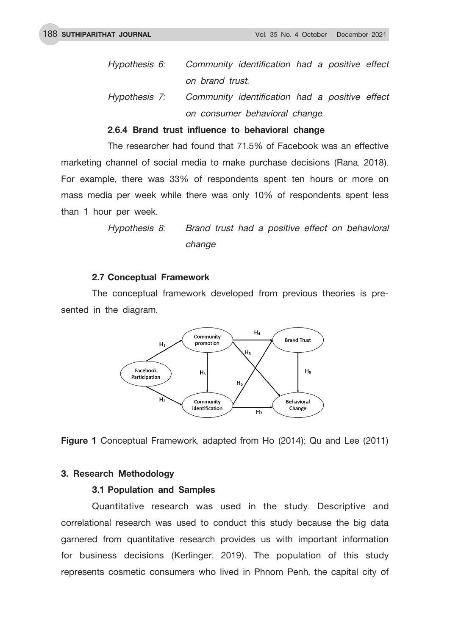- *Hypothesis 6: Community identification had a positive effect on brand trust.*
- *Hypothesis 7: Community identification had a positive effect on consumer behavioral change.*

#### **2.6.4 Brand trust influence to behavioral change**

 The researcher had found that 71.5% of Facebook was an effective marketing channel of social media to make purchase decisions (Rana, 2018). For example, there was 33% of respondents spent ten hours or more on mass media per week while there was only 10% of respondents spent less than 1 hour per week.

> *Hypothesis 8: Brand trust had a positive effect on behavioral change*

#### **2.7 Conceptual Framework**

The conceptual framework developed from previous theories is presented in the diagram.



**Figure 1** Conceptual Framework, adapted from Ho (2014); Qu and Lee (2011)

#### **3. Research Methodology**

#### **3.1 Population and Samples**

Quantitative research was used in the study. Descriptive and correlational research was used to conduct this study because the big data garnered from quantitative research provides us with important information for business decisions (Kerlinger, 2019). The population of this study represents cosmetic consumers who lived in Phnom Penh, the capital city of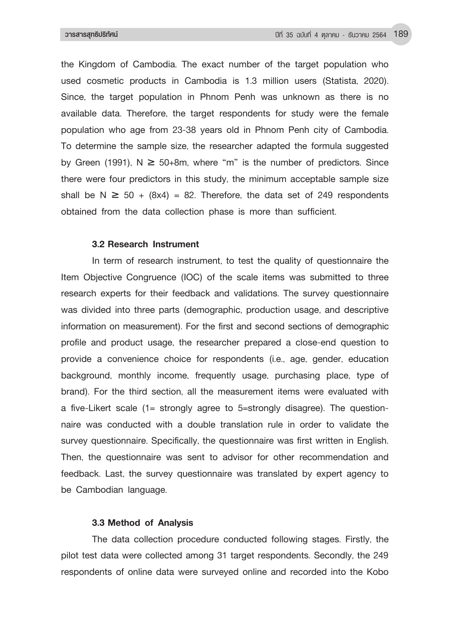the Kingdom of Cambodia. The exact number of the target population who used cosmetic products in Cambodia is 1.3 million users (Statista, 2020). Since, the target population in Phnom Penh was unknown as there is no available data. Therefore, the target respondents for study were the female population who age from 23-38 years old in Phnom Penh city of Cambodia. To determine the sample size, the researcher adapted the formula suggested by Green (1991),  $N \ge 50+8m$ , where "m" is the number of predictors. Since there were four predictors in this study, the minimum acceptable sample size shall be N  $\geq$  50 + (8x4) = 82. Therefore, the data set of 249 respondents obtained from the data collection phase is more than sufficient.

#### **3.2 Research Instrument**

In term of research instrument, to test the quality of questionnaire the Item Objective Congruence (IOC) of the scale items was submitted to three research experts for their feedback and validations. The survey questionnaire was divided into three parts (demographic, production usage, and descriptive information on measurement). For the first and second sections of demographic profile and product usage, the researcher prepared a close-end question to provide a convenience choice for respondents (i.e., age, gender, education background, monthly income, frequently usage, purchasing place, type of brand). For the third section, all the measurement items were evaluated with a five-Likert scale (1= strongly agree to 5=strongly disagree). The questionnaire was conducted with a double translation rule in order to validate the survey questionnaire. Specifically, the questionnaire was first written in English. Then, the questionnaire was sent to advisor for other recommendation and feedback. Last, the survey questionnaire was translated by expert agency to be Cambodian language.

## **3.3 Method of Analysis**

The data collection procedure conducted following stages. Firstly, the pilot test data were collected among 31 target respondents. Secondly, the 249 respondents of online data were surveyed online and recorded into the Kobo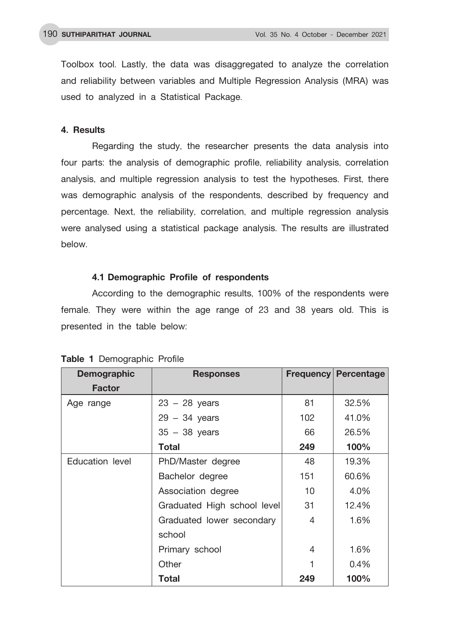Toolbox tool. Lastly, the data was disaggregated to analyze the correlation and reliability between variables and Multiple Regression Analysis (MRA) was used to analyzed in a Statistical Package.

### **4. Results**

Regarding the study, the researcher presents the data analysis into four parts: the analysis of demographic profile, reliability analysis, correlation analysis, and multiple regression analysis to test the hypotheses. First, there was demographic analysis of the respondents, described by frequency and percentage. Next, the reliability, correlation, and multiple regression analysis were analysed using a statistical package analysis. The results are illustrated below.

### **4.1 Demographic Profile of respondents**

According to the demographic results, 100% of the respondents were female. They were within the age range of 23 and 38 years old. This is presented in the table below:

| <b>Demographic</b> | <b>Responses</b>            | <b>Frequency</b> | Percentage |
|--------------------|-----------------------------|------------------|------------|
| <b>Factor</b>      |                             |                  |            |
| Age range          | $23 - 28$ years             | 81               | 32.5%      |
|                    | $29 - 34$ years             | 102              | 41.0%      |
|                    | $35 - 38$ years             | 66               | 26.5%      |
|                    | <b>Total</b>                | 249              | 100%       |
| Education level    | PhD/Master degree           | 48               | 19.3%      |
|                    | Bachelor degree             | 151              | 60.6%      |
|                    | Association degree          | 10               | 4.0%       |
|                    | Graduated High school level | 31               | 12.4%      |
|                    | Graduated lower secondary   | 4                | 1.6%       |
|                    | school                      |                  |            |
|                    | Primary school              | 4                | 1.6%       |
|                    | Other                       |                  | $0.4\%$    |
|                    | <b>Total</b>                | 249              | 100%       |

#### **Table 1** Demographic Profile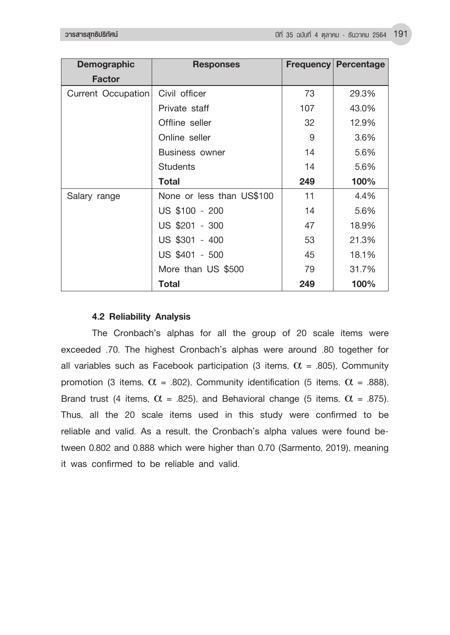| <b>Demographic</b> | <b>Responses</b>          | <b>Frequency</b> | <b>Percentage</b> |
|--------------------|---------------------------|------------------|-------------------|
| <b>Factor</b>      |                           |                  |                   |
| Current Occupation | Civil officer             | 73               | 29.3%             |
|                    | Private staff             | 107              | 43.0%             |
|                    | Offline seller            | 32               | 12.9%             |
|                    | Online seller             | 9                | 3.6%              |
|                    | <b>Business owner</b>     | 14               | 5.6%              |
|                    | <b>Students</b>           | 14               | 5.6%              |
|                    | Total                     | 249              | 100%              |
| Salary range       | None or less than US\$100 | 11               | 4.4%              |
|                    | US \$100 - 200            | 14               | 5.6%              |
|                    | US \$201 - 300            | 47               | 18.9%             |
|                    | US \$301 - 400            | 53               | 21.3%             |
|                    | US \$401 - 500            | 45               | 18.1%             |
|                    | More than US \$500        | 79               | 31.7%             |
|                    | Total                     | 249              | 100%              |

## **4.2 Reliability Analysis**

The Cronbach's alphas for all the group of 20 scale items were exceeded .70. The highest Cronbach's alphas were around .80 together for all variables such as Facebook participation (3 items,  $\alpha$  = .805), Community promotion (3 items,  $\alpha$  = .802), Community identification (5 items,  $\alpha$  = .888), Brand trust (4 items,  $\alpha$  = .825), and Behavioral change (5 items,  $\alpha$  = .875). Thus, all the 20 scale items used in this study were confirmed to be reliable and valid. As a result, the Cronbach's alpha values were found between 0.802 and 0.888 which were higher than 0.70 (Sarmento, 2019), meaning it was confirmed to be reliable and valid.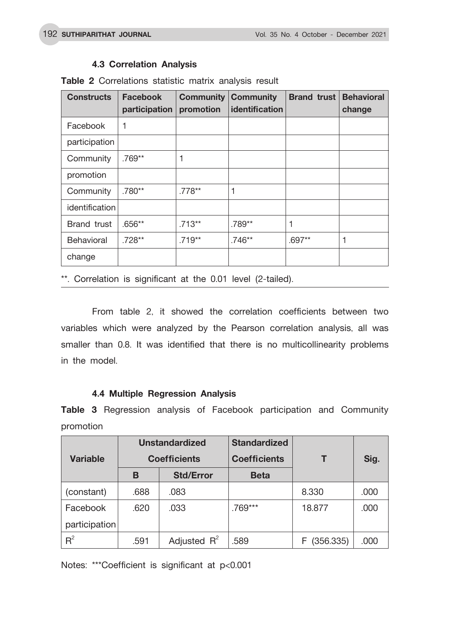## **4.3 Correlation Analysis**

| <b>Constructs</b>              | <b>Facebook</b><br>participation | <b>Community</b><br>promotion | <b>Community</b><br><b>identification</b> | <b>Brand trust</b> | <b>Behavioral</b><br>change |
|--------------------------------|----------------------------------|-------------------------------|-------------------------------------------|--------------------|-----------------------------|
| Facebook                       | 1                                |                               |                                           |                    |                             |
| participation                  |                                  |                               |                                           |                    |                             |
| Community                      | .769**                           | 1                             |                                           |                    |                             |
| promotion                      |                                  |                               |                                           |                    |                             |
| Community                      | $.780**$                         | .778**                        | 1                                         |                    |                             |
| identification                 |                                  |                               |                                           |                    |                             |
| $.656**$<br><b>Brand trust</b> |                                  | $.713**$                      | .789**                                    |                    |                             |
| .728**<br><b>Behavioral</b>    |                                  | $.719**$                      | .746**                                    | .697**             | 1                           |
| change                         |                                  |                               |                                           |                    |                             |

**Table 2** Correlations statistic matrix analysis result

\*\*. Correlation is significant at the 0.01 level (2-tailed).

From table 2, it showed the correlation coefficients between two variables which were analyzed by the Pearson correlation analysis, all was smaller than 0.8. It was identified that there is no multicollinearity problems in the model.

## **4.4 Multiple Regression Analysis**

**Table 3** Regression analysis of Facebook participation and Community promotion

|                 |      | <b>Unstandardized</b>                      | <b>Standardized</b> |             |      |  |
|-----------------|------|--------------------------------------------|---------------------|-------------|------|--|
| <b>Variable</b> |      | <b>Coefficients</b><br><b>Coefficients</b> |                     | Sig.        |      |  |
|                 | в    | <b>Std/Error</b>                           | <b>Beta</b>         |             |      |  |
| (constant)      | .688 | .083                                       |                     | 8.330       | .000 |  |
| Facebook        | .620 | .033                                       | .769***             | 18.877      | .000 |  |
| participation   |      |                                            |                     |             |      |  |
| $R^2$           | .591 | Adjusted $R^2$                             | .589                | F (356.335) | .000 |  |

Notes: \*\*\*Coefficient is significant at p<0.001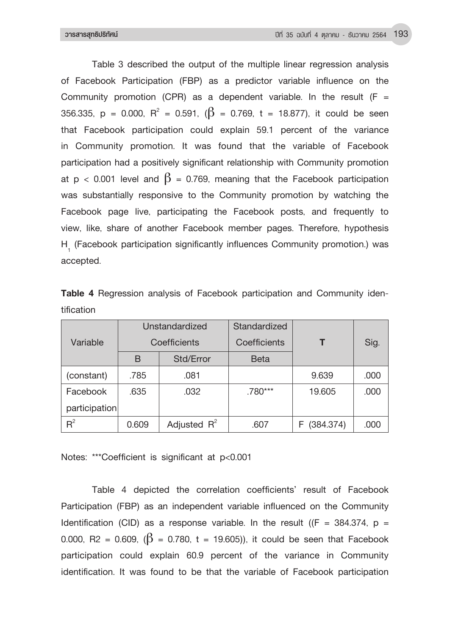Table 3 described the output of the multiple linear regression analysis of Facebook Participation (FBP) as a predictor variable influence on the Community promotion (CPR) as a dependent variable. In the result ( $F =$ 356.335, p = 0.000,  $R^2$  = 0.591, ( $\beta$  = 0.769, t = 18.877), it could be seen that Facebook participation could explain 59.1 percent of the variance in Community promotion. It was found that the variable of Facebook participation had a positively significant relationship with Community promotion at p < 0.001 level and  $\beta$  = 0.769, meaning that the Facebook participation was substantially responsive to the Community promotion by watching the Facebook page live, participating the Facebook posts, and frequently to view, like, share of another Facebook member pages. Therefore, hypothesis H<sub>1</sub> (Facebook participation significantly influences Community promotion.) was accepted.

|               |              | Unstandardized | Standardized |             |      |
|---------------|--------------|----------------|--------------|-------------|------|
| Variable      |              | Coefficients   | Coefficients |             | Sig. |
|               | B            | Std/Error      | <b>Beta</b>  |             |      |
| (constant)    | .785         | .081           |              | 9.639       | .000 |
| Facebook      | .635<br>.032 |                | .780***      | 19.605      | .000 |
| participation |              |                |              |             |      |
| $R^2$         | 0.609        | Adjusted $R^2$ | .607         | F (384.374) | .000 |

**Table 4** Regression analysis of Facebook participation and Community identification

Notes: \*\*\*Coefficient is significant at p<0.001

Table 4 depicted the correlation coefficients' result of Facebook Participation (FBP) as an independent variable influenced on the Community Identification (CID) as a response variable. In the result ( $(F = 384.374, p =$ 0.000, R2 = 0.609,  $(\beta = 0.780, t = 19.605)$ , it could be seen that Facebook participation could explain 60.9 percent of the variance in Community identification. It was found to be that the variable of Facebook participation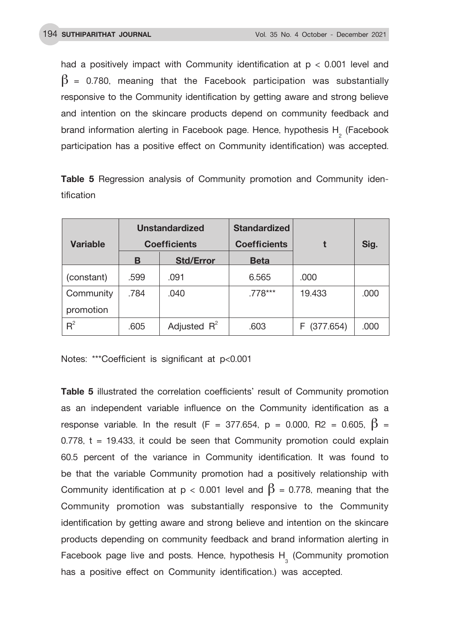had a positively impact with Community identification at p < 0.001 level and  $\beta$  = 0.780, meaning that the Facebook participation was substantially responsive to the Community identification by getting aware and strong believe and intention on the skincare products depend on community feedback and brand information alerting in Facebook page. Hence, hypothesis  $H_{2}^{\text{}}$  (Facebook participation has a positive effect on Community identification) was accepted.

**Table 5** Regression analysis of Community promotion and Community identification

|            |      | <b>Unstandardized</b> | <b>Standardized</b> |             |      |  |
|------------|------|-----------------------|---------------------|-------------|------|--|
| Variable   |      | <b>Coefficients</b>   | <b>Coefficients</b> |             | Sig. |  |
|            | в    | <b>Std/Error</b>      | <b>Beta</b>         |             |      |  |
| (constant) | .599 | .091                  | 6.565               | .000        |      |  |
| Community  | .784 | .040                  | .778***             | 19.433      | .000 |  |
| promotion  |      |                       |                     |             |      |  |
| $R^2$      | .605 | Adjusted $R^2$        | .603                | F (377.654) | .000 |  |

Notes: \*\*\*Coefficient is significant at p<0.001

**Table 5** illustrated the correlation coefficients' result of Community promotion as an independent variable influence on the Community identification as a response variable. In the result (F = 377.654, p = 0.000, R2 = 0.605,  $\beta$  =  $0.778$ ,  $t = 19.433$ , it could be seen that Community promotion could explain 60.5 percent of the variance in Community identification. It was found to be that the variable Community promotion had a positively relationship with Community identification at  $p < 0.001$  level and  $\beta = 0.778$ , meaning that the Community promotion was substantially responsive to the Community identification by getting aware and strong believe and intention on the skincare products depending on community feedback and brand information alerting in Facebook page live and posts. Hence, hypothesis  $H<sub>3</sub>$  (Community promotion has a positive effect on Community identification.) was accepted.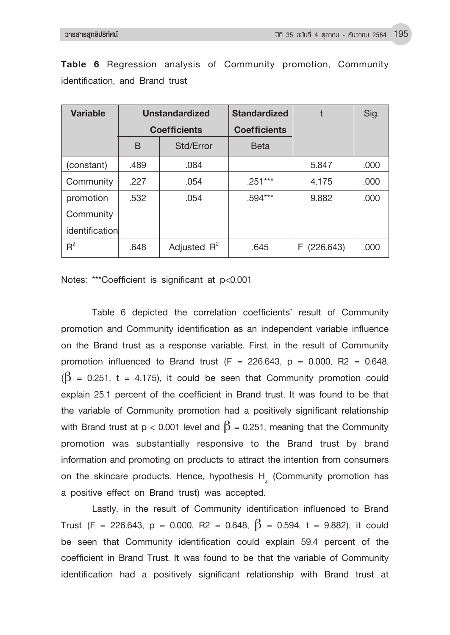| Variable       | <b>Unstandardized</b> |                | <b>Standardized</b> |            | Sig. |
|----------------|-----------------------|----------------|---------------------|------------|------|
|                | <b>Coefficients</b>   |                | <b>Coefficients</b> |            |      |
|                | B                     | Std/Error      | <b>Beta</b>         |            |      |
| (constant)     | .489                  | .084           |                     | 5.847      | .000 |
| Community      | .227                  | .054           | $.251***$           | 4.175      | .000 |
| promotion      | .532                  | .054           | .594***             | 9.882      | .000 |
| Community      |                       |                |                     |            |      |
| identification |                       |                |                     |            |      |
| $R^2$          | .648                  | Adjusted $R^2$ | .645                | F(226.643) | .000 |

**Table 6** Regression analysis of Community promotion, Community identification, and Brand trust

Notes: \*\*\*Coefficient is significant at p<0.001

Table 6 depicted the correlation coefficients' result of Community promotion and Community identification as an independent variable influence on the Brand trust as a response variable. First, in the result of Community promotion influenced to Brand trust  $(F = 226.643, p = 0.000, R2 = 0.648,$  $(\beta = 0.251, t = 4.175)$ , it could be seen that Community promotion could explain 25.1 percent of the coefficient in Brand trust. It was found to be that the variable of Community promotion had a positively significant relationship with Brand trust at p < 0.001 level and  $\beta$  = 0.251, meaning that the Community promotion was substantially responsive to the Brand trust by brand information and promoting on products to attract the intention from consumers on the skincare products. Hence, hypothesis  $H_4$  (Community promotion has a positive effect on Brand trust) was accepted.

Lastly, in the result of Community identification influenced to Brand Trust (F = 226.643, p = 0.000, R2 = 0.648,  $\beta$  = 0.594, t = 9.882), it could be seen that Community identification could explain 59.4 percent of the coefficient in Brand Trust. It was found to be that the variable of Community identification had a positively significant relationship with Brand trust at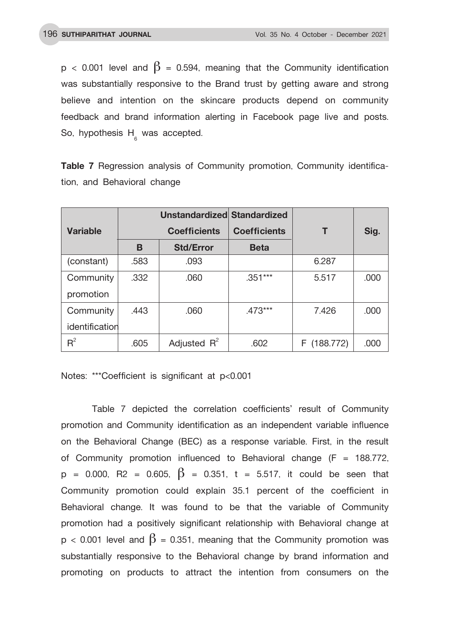$p < 0.001$  level and  $\beta = 0.594$ , meaning that the Community identification was substantially responsive to the Brand trust by getting aware and strong believe and intention on the skincare products depend on community feedback and brand information alerting in Facebook page live and posts. So, hypothesis  $H_{\epsilon}$  was accepted.

**Table 7** Regression analysis of Community promotion, Community identification, and Behavioral change

|                 |      | Unstandardized Standardized |                     |             |      |
|-----------------|------|-----------------------------|---------------------|-------------|------|
| <b>Variable</b> |      | <b>Coefficients</b>         | <b>Coefficients</b> | т           | Sig. |
|                 | B    | <b>Std/Error</b>            | <b>Beta</b>         |             |      |
| (constant)      | .583 | .093                        |                     | 6.287       |      |
| Community       | .332 | .060                        | .351***             | 5.517       | .000 |
| promotion       |      |                             |                     |             |      |
| Community       | .443 | .060                        | $.473***$           | 7.426       | .000 |
| identification  |      |                             |                     |             |      |
| $R^2$           | .605 | Adjusted $R^2$              | .602                | F (188.772) | .000 |

Notes: \*\*\*Coefficient is significant at p<0.001

Table 7 depicted the correlation coefficients' result of Community promotion and Community identification as an independent variable influence on the Behavioral Change (BEC) as a response variable. First, in the result of Community promotion influenced to Behavioral change  $(F = 188.772)$ ,  $p = 0.000$ , R2 = 0.605,  $\beta = 0.351$ , t = 5.517, it could be seen that Community promotion could explain 35.1 percent of the coefficient in Behavioral change. It was found to be that the variable of Community promotion had a positively significant relationship with Behavioral change at  $p < 0.001$  level and  $\beta = 0.351$ , meaning that the Community promotion was substantially responsive to the Behavioral change by brand information and promoting on products to attract the intention from consumers on the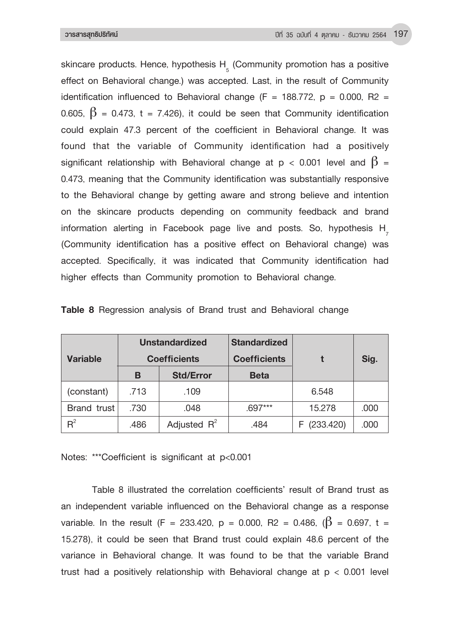skincare products. Hence, hypothesis  $H_{\frac{1}{5}}$  (Community promotion has a positive effect on Behavioral change.) was accepted. Last, in the result of Community identification influenced to Behavioral change (F = 188.772,  $p = 0.000$ , R2 = 0.605,  $\beta$  = 0.473, t = 7.426), it could be seen that Community identification could explain 47.3 percent of the coefficient in Behavioral change. It was found that the variable of Community identification had a positively significant relationship with Behavioral change at  $p < 0.001$  level and  $\beta =$ 0.473, meaning that the Community identification was substantially responsive to the Behavioral change by getting aware and strong believe and intention on the skincare products depending on community feedback and brand information alerting in Facebook page live and posts. So, hypothesis H (Community identification has a positive effect on Behavioral change) was accepted. Specifically, it was indicated that Community identification had higher effects than Community promotion to Behavioral change.

|                 |              | <b>Unstandardized</b> | <b>Standardized</b> |             |      |  |
|-----------------|--------------|-----------------------|---------------------|-------------|------|--|
| <b>Variable</b> |              | <b>Coefficients</b>   | <b>Coefficients</b> |             | Sig. |  |
|                 | В            | <b>Std/Error</b>      | <b>Beta</b>         |             |      |  |
| (constant)      | .713         | .109                  |                     | 6.548       |      |  |
| Brand trust     | .730<br>.048 |                       | .697***             | 15.278      | .000 |  |
| $R^2$           | .486         | Adjusted $R^2$        | .484                | F (233.420) | .000 |  |

|  |  | Table 8 Regression analysis of Brand trust and Behavioral change |  |  |  |  |  |  |  |
|--|--|------------------------------------------------------------------|--|--|--|--|--|--|--|
|--|--|------------------------------------------------------------------|--|--|--|--|--|--|--|

Notes: \*\*\*Coefficient is significant at p<0.001

Table 8 illustrated the correlation coefficients' result of Brand trust as an independent variable influenced on the Behavioral change as a response variable. In the result (F = 233.420, p = 0.000, R2 = 0.486, ( $\beta$  = 0.697, t = 15.278), it could be seen that Brand trust could explain 48.6 percent of the variance in Behavioral change. It was found to be that the variable Brand trust had a positively relationship with Behavioral change at  $p < 0.001$  level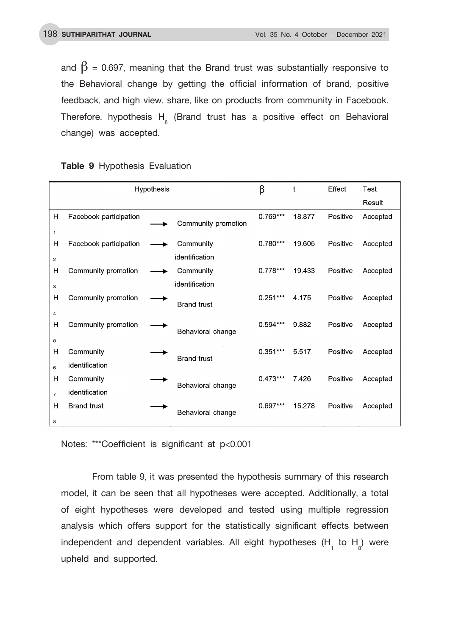and  $\beta$  = 0.697, meaning that the Brand trust was substantially responsive to the Behavioral change by getting the official information of brand, positive feedback, and high view, share, like on products from community in Facebook. Therefore, hypothesis  $H_{\frac{1}{8}}$  (Brand trust has a positive effect on Behavioral change) was accepted.

|                |                        | Hypothesis |                     | β          | t      | Effect   | Test     |
|----------------|------------------------|------------|---------------------|------------|--------|----------|----------|
|                |                        |            |                     |            |        |          | Result   |
| Н              | Facebook participation |            | Community promotion | $0.769***$ | 18.877 | Positive | Accepted |
| $\mathbf{1}$   |                        |            |                     |            |        |          |          |
| Н              | Facebook participation |            | Community           | $0.780***$ | 19.605 | Positive | Accepted |
| $\overline{2}$ |                        |            | identification      |            |        |          |          |
| н              | Community promotion    |            | Community           | $0.778***$ | 19.433 | Positive | Accepted |
| 3              |                        |            | identification      |            |        |          |          |
| н              | Community promotion    |            | <b>Brand trust</b>  | $0.251***$ | 4.175  | Positive | Accepted |
| $\overline{4}$ |                        |            |                     |            |        |          |          |
| н              | Community promotion    |            | Behavioral change   | $0.594***$ | 9.882  | Positive | Accepted |
| 5              |                        |            |                     |            |        |          |          |
| н              | Community              |            | <b>Brand trust</b>  | $0.351***$ | 5.517  | Positive | Accepted |
| 6              | identification         |            |                     |            |        |          |          |
| Н              | Community              |            | Behavioral change   | $0.473***$ | 7.426  | Positive | Accepted |
| $\overline{7}$ | identification         |            |                     |            |        |          |          |
| н              | <b>Brand trust</b>     |            |                     | $0.697***$ | 15.278 | Positive | Accepted |
| 8              |                        |            | Behavioral change   |            |        |          |          |

**Table 9** Hypothesis Evaluation

Notes: \*\*\*Coefficient is significant at p<0.001

From table 9, it was presented the hypothesis summary of this research model, it can be seen that all hypotheses were accepted. Additionally, a total of eight hypotheses were developed and tested using multiple regression analysis which offers support for the statistically significant effects between independent and dependent variables. All eight hypotheses  $(H_1$  to  $H_8)$  were upheld and supported.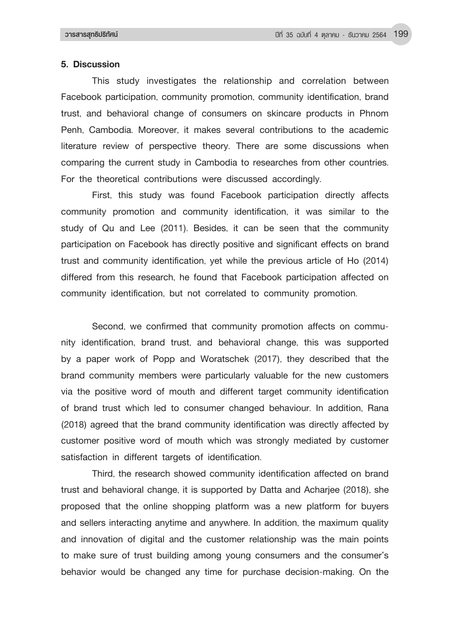#### **5. Discussion**

This study investigates the relationship and correlation between Facebook participation, community promotion, community identification, brand trust, and behavioral change of consumers on skincare products in Phnom Penh, Cambodia. Moreover, it makes several contributions to the academic literature review of perspective theory. There are some discussions when comparing the current study in Cambodia to researches from other countries. For the theoretical contributions were discussed accordingly.

First, this study was found Facebook participation directly affects community promotion and community identification, it was similar to the study of Qu and Lee (2011). Besides, it can be seen that the community participation on Facebook has directly positive and significant effects on brand trust and community identification, yet while the previous article of Ho (2014) differed from this research, he found that Facebook participation affected on community identification, but not correlated to community promotion.

Second, we confirmed that community promotion affects on community identification, brand trust, and behavioral change, this was supported by a paper work of Popp and Woratschek (2017), they described that the brand community members were particularly valuable for the new customers via the positive word of mouth and different target community identification of brand trust which led to consumer changed behaviour. In addition, Rana (2018) agreed that the brand community identification was directly affected by customer positive word of mouth which was strongly mediated by customer satisfaction in different targets of identification.

Third, the research showed community identification affected on brand trust and behavioral change, it is supported by Datta and Acharjee (2018), she proposed that the online shopping platform was a new platform for buyers and sellers interacting anytime and anywhere. In addition, the maximum quality and innovation of digital and the customer relationship was the main points to make sure of trust building among young consumers and the consumer's behavior would be changed any time for purchase decision-making. On the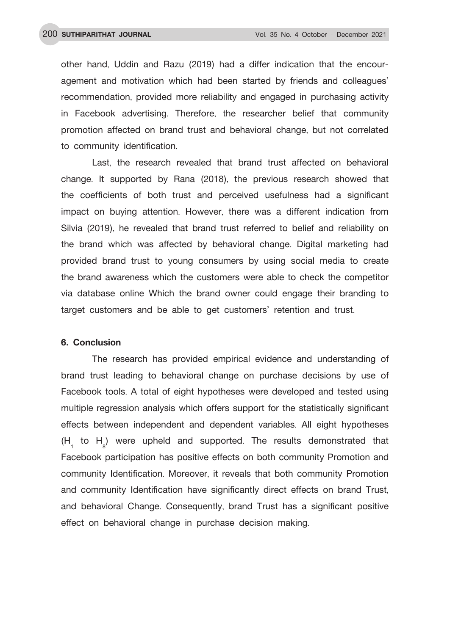other hand, Uddin and Razu (2019) had a differ indication that the encouragement and motivation which had been started by friends and colleagues' recommendation, provided more reliability and engaged in purchasing activity in Facebook advertising. Therefore, the researcher belief that community promotion affected on brand trust and behavioral change, but not correlated to community identification.

Last, the research revealed that brand trust affected on behavioral change. It supported by Rana (2018), the previous research showed that the coefficients of both trust and perceived usefulness had a significant impact on buying attention. However, there was a different indication from Silvia (2019), he revealed that brand trust referred to belief and reliability on the brand which was affected by behavioral change. Digital marketing had provided brand trust to young consumers by using social media to create the brand awareness which the customers were able to check the competitor via database online Which the brand owner could engage their branding to target customers and be able to get customers' retention and trust.

## **6. Conclusion**

The research has provided empirical evidence and understanding of brand trust leading to behavioral change on purchase decisions by use of Facebook tools. A total of eight hypotheses were developed and tested using multiple regression analysis which offers support for the statistically significant effects between independent and dependent variables. All eight hypotheses  $(H_1$  to  $H_8$ ) were upheld and supported. The results demonstrated that Facebook participation has positive effects on both community Promotion and community Identification. Moreover, it reveals that both community Promotion and community Identification have significantly direct effects on brand Trust, and behavioral Change. Consequently, brand Trust has a significant positive effect on behavioral change in purchase decision making.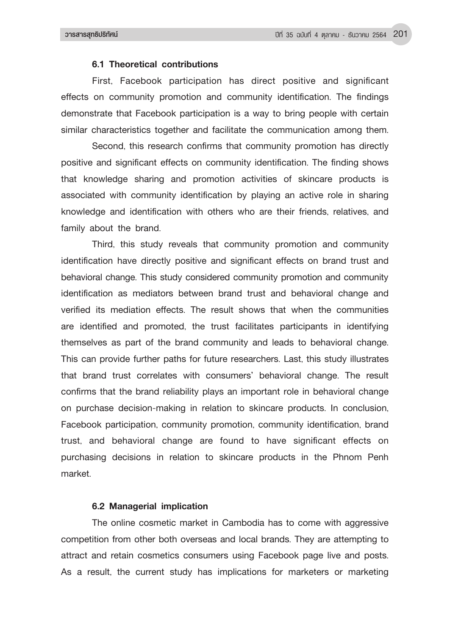## **6.1 Theoretical contributions**

First, Facebook participation has direct positive and significant effects on community promotion and community identification. The findings demonstrate that Facebook participation is a way to bring people with certain similar characteristics together and facilitate the communication among them.

Second, this research confirms that community promotion has directly positive and significant effects on community identification. The finding shows that knowledge sharing and promotion activities of skincare products is associated with community identification by playing an active role in sharing knowledge and identification with others who are their friends, relatives, and family about the brand.

Third, this study reveals that community promotion and community identification have directly positive and significant effects on brand trust and behavioral change. This study considered community promotion and community identification as mediators between brand trust and behavioral change and verified its mediation effects. The result shows that when the communities are identified and promoted, the trust facilitates participants in identifying themselves as part of the brand community and leads to behavioral change. This can provide further paths for future researchers. Last, this study illustrates that brand trust correlates with consumers' behavioral change. The result confirms that the brand reliability plays an important role in behavioral change on purchase decision-making in relation to skincare products. In conclusion, Facebook participation, community promotion, community identification, brand trust, and behavioral change are found to have significant effects on purchasing decisions in relation to skincare products in the Phnom Penh market.

## **6.2 Managerial implication**

The online cosmetic market in Cambodia has to come with aggressive competition from other both overseas and local brands. They are attempting to attract and retain cosmetics consumers using Facebook page live and posts. As a result, the current study has implications for marketers or marketing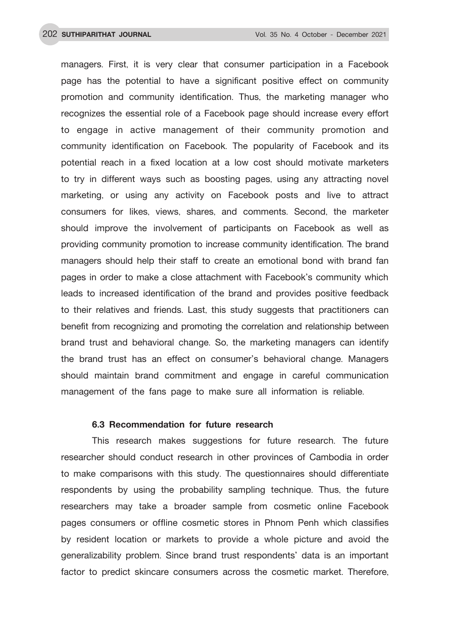managers. First, it is very clear that consumer participation in a Facebook page has the potential to have a significant positive effect on community promotion and community identification. Thus, the marketing manager who recognizes the essential role of a Facebook page should increase every effort to engage in active management of their community promotion and community identification on Facebook. The popularity of Facebook and its potential reach in a fixed location at a low cost should motivate marketers to try in different ways such as boosting pages, using any attracting novel marketing, or using any activity on Facebook posts and live to attract consumers for likes, views, shares, and comments. Second, the marketer should improve the involvement of participants on Facebook as well as providing community promotion to increase community identification. The brand managers should help their staff to create an emotional bond with brand fan pages in order to make a close attachment with Facebook's community which leads to increased identification of the brand and provides positive feedback to their relatives and friends. Last, this study suggests that practitioners can benefit from recognizing and promoting the correlation and relationship between brand trust and behavioral change. So, the marketing managers can identify the brand trust has an effect on consumer's behavioral change. Managers should maintain brand commitment and engage in careful communication management of the fans page to make sure all information is reliable.

#### **6.3 Recommendation for future research**

This research makes suggestions for future research. The future researcher should conduct research in other provinces of Cambodia in order to make comparisons with this study. The questionnaires should differentiate respondents by using the probability sampling technique. Thus, the future researchers may take a broader sample from cosmetic online Facebook pages consumers or offline cosmetic stores in Phnom Penh which classifies by resident location or markets to provide a whole picture and avoid the generalizability problem. Since brand trust respondents' data is an important factor to predict skincare consumers across the cosmetic market. Therefore,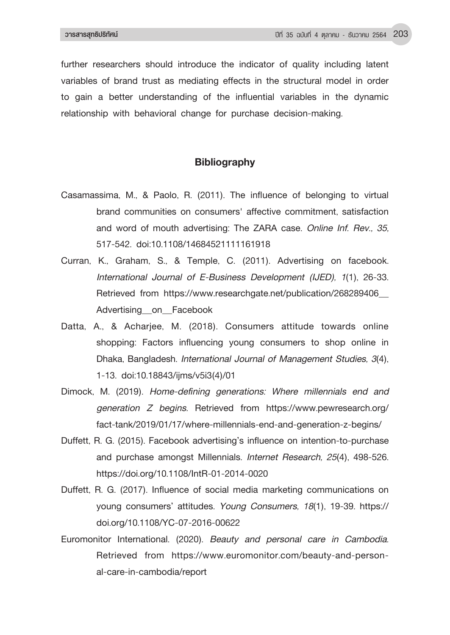further researchers should introduce the indicator of quality including latent variables of brand trust as mediating effects in the structural model in order to gain a better understanding of the influential variables in the dynamic relationship with behavioral change for purchase decision-making.

## **Bibliography**

- Casamassima, M., & Paolo, R. (2011). The influence of belonging to virtual brand communities on consumers' affective commitment, satisfaction and word of mouth advertising: The ZARA case. *Online Inf. Rev., 35,*  517-542. doi:10.1108/14684521111161918
- Curran, K., Graham, S., & Temple, C. (2011). Advertising on facebook. *International Journal of E-Business Development (IJED), 1*(1), 26-33. Retrieved from https://www.researchgate.net/publication/268289406\_ Advertising on Facebook
- Datta, A., & Acharjee, M. (2018). Consumers attitude towards online shopping: Factors influencing young consumers to shop online in Dhaka, Bangladesh. *International Journal of Management Studies, 3*(4), 1-13. doi:10.18843/ijms/v5i3(4)/01
- Dimock, M. (2019). *Home-defining generations: Where millennials end and generation Z begins.* Retrieved from https://www.pewresearch.org/ fact-tank/2019/01/17/where-millennials-end-and-generation-z-begins/
- Duffett, R. G. (2015). Facebook advertising's influence on intention-to-purchase and purchase amongst Millennials. *Internet Research, 25*(4), 498-526. https://doi.org/10.1108/IntR-01-2014-0020
- Duffett, R. G. (2017). Influence of social media marketing communications on young consumers' attitudes. *Young Consumers, 18*(1), 19-39. https:// doi.org/10.1108/YC-07-2016-00622
- Euromonitor International. (2020). *Beauty and personal care in Cambodia.*  Retrieved from https://www.euromonitor.com/beauty-and-personal-care-in-cambodia/report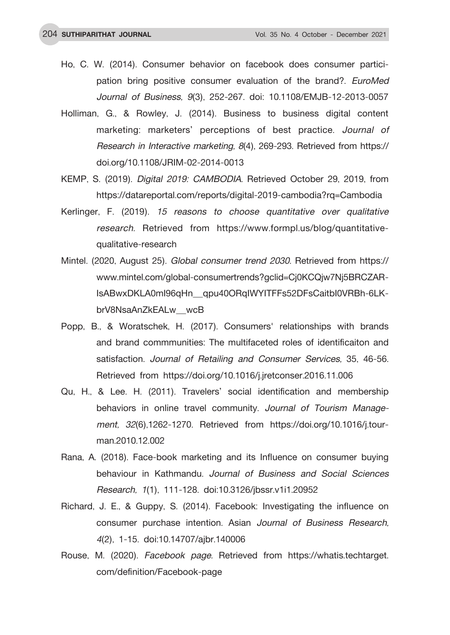- Ho, C. W. (2014). Consumer behavior on facebook does consumer participation bring positive consumer evaluation of the brand?. *EuroMed Journal of Business, 9*(3), 252-267. doi: 10.1108/EMJB-12-2013-0057
- Holliman, G., & Rowley, J. (2014). Business to business digital content marketing: marketers' perceptions of best practice. *Journal of Research in Interactive marketing, 8*(4), 269-293. Retrieved from https:// doi.org/10.1108/JRIM-02-2014-0013
- KEMP, S. (2019). *Digital 2019: CAMBODIA.* Retrieved October 29, 2019, from https://datareportal.com/reports/digital-2019-cambodia?rq=Cambodia
- Kerlinger, F. (2019). *15 reasons to choose quantitative over qualitative research.* Retrieved from https://www.formpl.us/blog/quantitativequalitative-research
- Mintel. (2020, August 25). *Global consumer trend 2030.* Retrieved from https:// www.mintel.com/global-consumertrends?gclid=Cj0KCQjw7Nj5BRCZAR-IsABwxDKLA0mI96qHn\_qpu40ORqIWYITFFs52DFsCaitbI0VRBh-6LKbrV8NsaAnZkEALw\_wcB
- Popp, B., & Woratschek, H. (2017). Consumers' relationships with brands and brand commmunities: The multifaceted roles of identificaiton and satisfaction. *Journal of Retailing and Consumer Services,* 35, 46-56. Retrieved from https://doi.org/10.1016/j.jretconser.2016.11.006
- Qu, H., & Lee. H. (2011). Travelers' social identification and membership behaviors in online travel community. *Journal of Tourism Management, 32*(6),1262-1270. Retrieved from https://doi.org/10.1016/j.tourman.2010.12.002
- Rana, A. (2018). Face-book marketing and its Influence on consumer buying behaviour in Kathmandu. *Journal of Business and Social Sciences Research, 1*(1), 111-128. doi:10.3126/jbssr.v1i1.20952
- Richard, J. E., & Guppy, S. (2014). Facebook: Investigating the influence on consumer purchase intention. Asian *Journal of Business Research, 4*(2), 1-15. doi:10.14707/ajbr.140006
- Rouse, M. (2020). *Facebook page.* Retrieved from https://whatis.techtarget. com/definition/Facebook-page